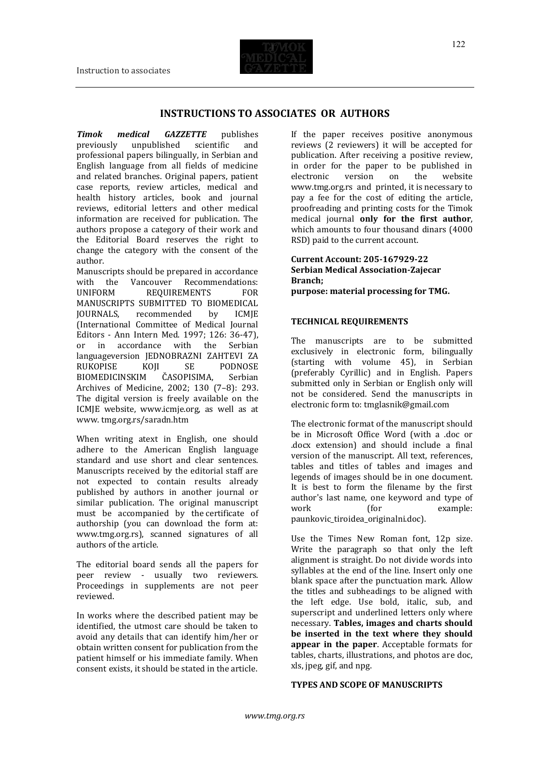# **INSTRUCTIONS TO ASSOCIATES OR AUTHORS**

*Timok medical GAZZETTE* publishes previously unpublished scientific and professional papers bilingually, in Serbian and English language from all fields of medicine and related branches. Original papers, patient case reports, review articles, medical and health history articles, book and journal reviews, editorial letters and other medical information are received for publication. The authors propose a category of their work and the Editorial Board reserves the right to change the category with the consent of the author.

Manuscripts should be prepared in accordance with the Vancouver Recommendations: UNIFORM REQUIREMENTS FOR MANUSCRIPTS SUBMITTED TO BIOMEDICAL JOURNALS, recommended by ICMJE (International Committee of Medical Journal Editors - Ann Intern Med. 1997; 126: 36-47),<br>or in accordance with the Serbian or in accordance with the languageversion JEDNOBRAZNI ZAHTEVI ZA RUKOPISE KOII SE PODNOSE BIOMEDICINSKIM ČASOPISIMA, Serbian Archives of Medicine, 2002; 130 (7–8): 293. The digital version is freely available on the ICMJE website, www.icmje.org, as well as at www. tmg.org.rs/saradn.htm

When writing atext in English, one should adhere to the American English language standard and use short and clear sentences. Manuscripts received by the editorial staff are not expected to contain results already published by authors in another journal or similar publication. The original manuscript must be accompanied by the certificate of authorship (you can download the form at: www.tmg.org.rs), scanned signatures of all authors of the article.

The editorial board sends all the papers for peer review - usually two reviewers. Proceedings in supplements are not peer reviewed.

In works where the described patient may be identified, the utmost care should be taken to avoid any details that can identify him/her or obtain written consent for publication from the patient himself or his immediate family. When consent exists, it should be stated in the article.

If the paper receives positive anonymous reviews (2 reviewers) it will be accepted for publication. After receiving a positive review, in order for the paper to be published in electronic version on the website www.tmg.org.rs and printed, it is necessary to pay a fee for the cost of editing the article, proofreading and printing costs for the Timok medical journal **only for the first author**, which amounts to four thousand dinars (4000 RSD) paid to the current account.

**Current Account: 205-167929-22 Serbian Medical Association-Zajecar Branch; purpose: material processing for TMG.**

## **TECHNICAL REQUIREMENTS**

The manuscripts are to be submitted exclusively in electronic form, bilingually (starting with volume 45), in Serbian (preferably Cyrillic) and in English. Papers submitted only in Serbian or English only will not be considered. Send the manuscripts in electronic form to: tmglasnik@gmail.com

The electronic format of the manuscript should be in Microsoft Office Word (with a .doc or .docx extension) and should include a final version of the manuscript. All text, references, tables and titles of tables and images and legends of images should be in one document. It is best to form the filename by the first author's last name, one keyword and type of work (for example: paunkovic\_tiroidea\_originalni.doc).

Use the Times New Roman font, 12p size. Write the paragraph so that only the left alignment is straight. Do not divide words into syllables at the end of the line. Insert only one blank space after the punctuation mark. Allow the titles and subheadings to be aligned with the left edge. Use bold, italic, sub, and superscript and underlined letters only where necessary. **Tables, images and charts should be inserted in the text where they should appear in the paper**. Acceptable formats for tables, charts, illustrations, and photos are doc, xls, jpeg, gif, and npg.

## **TYPES AND SCOPE OF MANUSCRIPTS**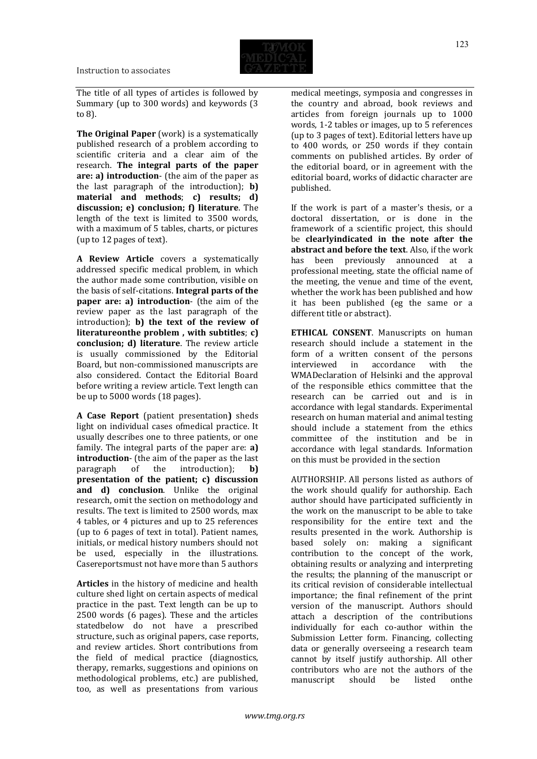The title of all types of articles is followed by Summary (up to 300 words) and keywords (3 to 8).

**The Original Paper** (work) is a systematically published research of a problem according to scientific criteria and a clear aim of the research. **The integral parts of the paper are: a) introduction**- (the aim of the paper as the last paragraph of the introduction); **b) material and methods**; **c) results; d) discussion; e) conclusion; f) literature**. The length of the text is limited to 3500 words, with a maximum of 5 tables, charts, or pictures (up to 12 pages of text).

**A Review Article** covers a systematically addressed specific medical problem, in which the author made some contribution, visible on the basis of self-citations. **Integral parts of the paper are: a) introduction**- (the aim of the review paper as the last paragraph of the introduction); **b) the text of the review of literatureonthe problem , with subtitles**; **c) conclusion; d) literature**. The review article is usually commissioned by the Editorial Board, but non-commissioned manuscripts are also considered. Contact the Editorial Board before writing a review article. Text length can be up to 5000 words (18 pages).

**A Case Report** (patient presentation**)** sheds light on individual cases ofmedical practice. It usually describes one to three patients, or one family. The integral parts of the paper are: **a) introduction**- (the aim of the paper as the last paragraph of the introduction); **b) presentation of the patient; c) discussion and d) conclusion**. Unlike the original research, omit the section on methodology and results. The text is limited to 2500 words, max 4 tables, or 4 pictures and up to 25 references (up to 6 pages of text in total). Patient names, initials, or medical history numbers should not be used, especially in the illustrations. Casereportsmust not have more than 5 authors

**Articles** in the history of medicine and health culture shed light on certain aspects of medical practice in the past. Text length can be up to 2500 words (6 pages). These and the articles statedbelow do not have a prescribed structure, such as original papers, case reports, and review articles. Short contributions from the field of medical practice (diagnostics, therapy, remarks, suggestions and opinions on methodological problems, etc.) are published, too, as well as presentations from various

medical meetings, symposia and congresses in the country and abroad, book reviews and articles from foreign journals up to 1000 words, 1-2 tables or images, up to 5 references (up to 3 pages of text). Editorial letters have up to 400 words, or 250 words if they contain comments on published articles. By order of the editorial board, or in agreement with the editorial board, works of didactic character are published.

If the work is part of a master's thesis, or a doctoral dissertation, or is done in the framework of a scientific project, this should be **clearlyindicated in the note after the abstract and before the text**. Also, if the work been previously announced at a professional meeting, state the official name of the meeting, the venue and time of the event, whether the work has been published and how it has been published (eg the same or a different title or abstract).

**ETHICAL CONSENT**. Manuscripts on human research should include a statement in the form of a written consent of the persons interviewed in accordance with the WMADeclaration of Helsinki and the approval of the responsible ethics committee that the research can be carried out and is in accordance with legal standards. Experimental research on human material and animal testing should include a statement from the ethics committee of the institution and be in accordance with legal standards. Information on this must be provided in the section

AUTHORSHIP. All persons listed as authors of the work should qualify for authorship. Each author should have participated sufficiently in the work on the manuscript to be able to take responsibility for the entire text and the results presented in the work. Authorship is based solely on: making a significant contribution to the concept of the work, obtaining results or analyzing and interpreting the results; the planning of the manuscript or its critical revision of considerable intellectual importance; the final refinement of the print version of the manuscript. Authors should attach a description of the contributions individually for each co-author within the Submission Letter form. Financing, collecting data or generally overseeing a research team cannot by itself justify authorship. All other contributors who are not the authors of the manuscript should be listed onthe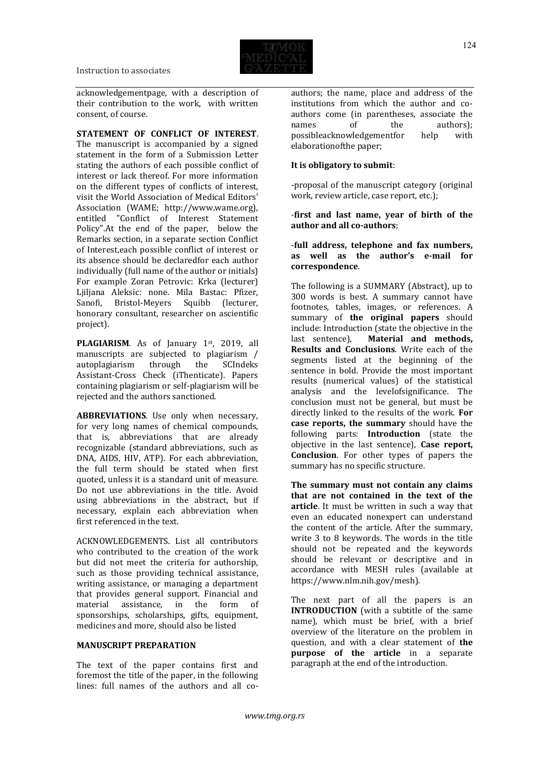

acknowledgementpage, with a description of their contribution to the work, with written consent, of course.

## **STATEMENT OF CONFLICT OF INTEREST**.

The manuscript is accompanied by a signed statement in the form of a Submission Letter stating the authors of each possible conflict of interest or lack thereof. For more information on the different types of conflicts of interest, visit the World Association of Medical Editors' Association (WAME; http://www.wame.org), entitled "Conflict of Interest Statement Policy".At the end of the paper, below the Remarks section, in a separate section Conflict of Interest,each possible conflict of interest or its absence should be declaredfor each author individually (full name of the author or initials) For example Zoran Petrovic: Krka (lecturer) Ljiljana Aleksic: none. Mila Bastac: Pfizer, Sanofi, Bristol-Meyers Squibb (lecturer, honorary consultant, researcher on ascientific project).

PLAGIARISM. As of January 1st, 2019, all manuscripts are subjected to plagiarism / autoplagiarism through the SCIndeks Assistant-Cross Check (iThenticate). Papers containing plagiarism or self-plagiarism will be rejected and the authors sanctioned.

**ABBREVIATIONS**. Use only when necessary, for very long names of chemical compounds, that is, abbreviations that are already recognizable (standard abbreviations, such as DNA, AIDS, HIV, ATP). For each abbreviation, the full term should be stated when first quoted, unless it is a standard unit of measure. Do not use abbreviations in the title. Avoid using abbreviations in the abstract, but if necessary, explain each abbreviation when first referenced in the text.

ACKNOWLEDGEMENTS. List all contributors who contributed to the creation of the work but did not meet the criteria for authorship, such as those providing technical assistance, writing assistance, or managing a department that provides general support. Financial and material assistance, in the form of sponsorships, scholarships, gifts, equipment, medicines and more, should also be listed

## **MANUSCRIPT PREPARATION**

The text of the paper contains first and foremost the title of the paper, in the following lines: full names of the authors and all co-

authors; the name, place and address of the institutions from which the author and coauthors come (in parentheses, associate the names of the authors);<br>possibleacknowledgement or help with possibleacknowledgementfor help elaborationofthe paper;

## **It is obligatory to submit**:

-proposal of the manuscript category (original work, review article, case report, etc.);

## -**first and last name, year of birth of the author and all co-authors**;

## -**full address, telephone and fax numbers, as well as the author's e-mail for correspondence**.

The following is a SUMMARY (Abstract), up to 300 words is best. A summary cannot have footnotes, tables, images, or references. A summary of **the original papers** should include: Introduction (state the objective in the last sentence), **Material and methods, Results and Conclusions**. Write each of the segments listed at the beginning of the sentence in bold. Provide the most important results (numerical values) of the statistical analysis and the levelofsignificance. The conclusion must not be general, but must be directly linked to the results of the work. **For case reports, the summary** should have the following parts: **Introduction** (state the objective in the last sentence), **Case report, Conclusion**. For other types of papers the summary has no specific structure.

**The summary must not contain any claims that are not contained in the text of the article**. It must be written in such a way that even an educated nonexpert can understand the content of the article. After the summary, write 3 to 8 keywords. The words in the title should not be repeated and the keywords should be relevant or descriptive and in accordance with MESH rules (available at https://www.nlm.nih.gov/mesh).

The next part of all the papers is an **INTRODUCTION** (with a subtitle of the same name), which must be brief, with a brief overview of the literature on the problem in question, and with a clear statement of **the purpose of the article** in a separate paragraph at the end of the introduction.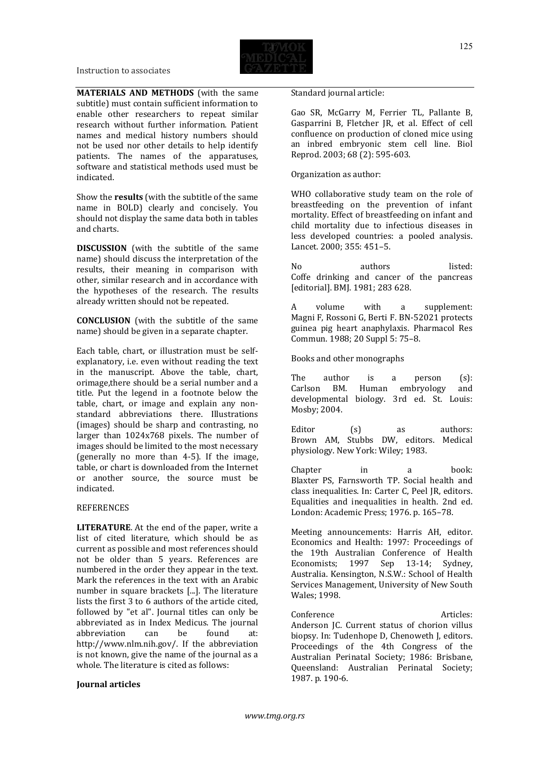

**MATERIALS AND METHODS** (with the same subtitle) must contain sufficient information to enable other researchers to repeat similar research without further information. Patient names and medical history numbers should not be used nor other details to help identify patients. The names of the apparatuses, software and statistical methods used must be indicated.

Show the **results** (with the subtitle of the same name in BOLD) clearly and concisely. You should not display the same data both in tables and charts.

**DISCUSSION** (with the subtitle of the same name) should discuss the interpretation of the results, their meaning in comparison with other, similar research and in accordance with the hypotheses of the research. The results already written should not be repeated.

**CONCLUSION** (with the subtitle of the same name) should be given in a separate chapter.

Each table, chart, or illustration must be selfexplanatory, i.e. even without reading the text in the manuscript. Above the table, chart, orimage,there should be a serial number and a title. Put the legend in a footnote below the table, chart, or image and explain any nonstandard abbreviations there. Illustrations (images) should be sharp and contrasting, no larger than 1024x768 pixels. The number of images should be limited to the most necessary (generally no more than 4-5). If the image, table, or chart is downloaded from the Internet or another source, the source must be indicated.

#### REFERENCES

**LITERATURE**. At the end of the paper, write a list of cited literature, which should be as current as possible and most references should not be older than 5 years. References are numbered in the order they appear in the text. Mark the references in the text with an Arabic number in square brackets [...]. The literature lists the first 3 to 6 authors of the article cited, followed by "et al". Journal titles can only be abbreviated as in Index Medicus. The journal abbreviation can be found at: http://www.nlm.nih.gov/. If the abbreviation is not known, give the name of the journal as a whole. The literature is cited as follows:

#### **Journal articles**

Standard journal article:

Gao SR, McGarry M, Ferrier TL, Pallante B, Gasparrini B, Fletcher JR, et al. Effect of cell confluence on production of cloned mice using an inbred embryonic stem cell line. Biol Reprod. 2003; 68 (2): 595-603.

Organization as author:

WHO collaborative study team on the role of breastfeeding on the prevention of infant mortality. Effect of breastfeeding on infant and child mortality due to infectious diseases in less developed countries: a pooled analysis. Lancet. 2000; 355: 451–5.

No authors listed: Coffe drinking and cancer of the pancreas [editorial]. BMJ. 1981; 283 628.

A volume with a supplement: Magni F, Rossoni G, Berti F. BN-52021 protects guinea pig heart anaphylaxis. Pharmacol Res Commun. 1988; 20 Suppl 5: 75–8.

Books and other monographs

The author is a person (s): Carlson BM. Human embryology and developmental biology. 3rd ed. St. Louis: Mosby; 2004.

Editor (s) as authors: Brown AM, Stubbs DW, editors. Medical physiology. New York: Wiley; 1983.

Chapter in a book: Blaxter PS, Farnsworth TP. Social health and class inequalities. In: Carter C, Peel JR, editors. Equalities and inequalities in health. 2nd ed. London: Academic Press; 1976. p. 165–78.

Meeting announcements: Harris AH, editor. Economics and Health: 1997: Proceedings of the 19th Australian Conference of Health Economists; 1997 Sep 13-14; Sydney, Australia. Kensington, N.S.W.: School of Health Services Management, University of New South Wales; 1998.

Conference Articles: Anderson JC. Current status of chorion villus biopsy. In: Tudenhope D, Chenoweth J, editors. Proceedings of the 4th Congress of the Australian Perinatal Society; 1986: Brisbane, Queensland: Australian Perinatal Society; 1987. p. 190-6.